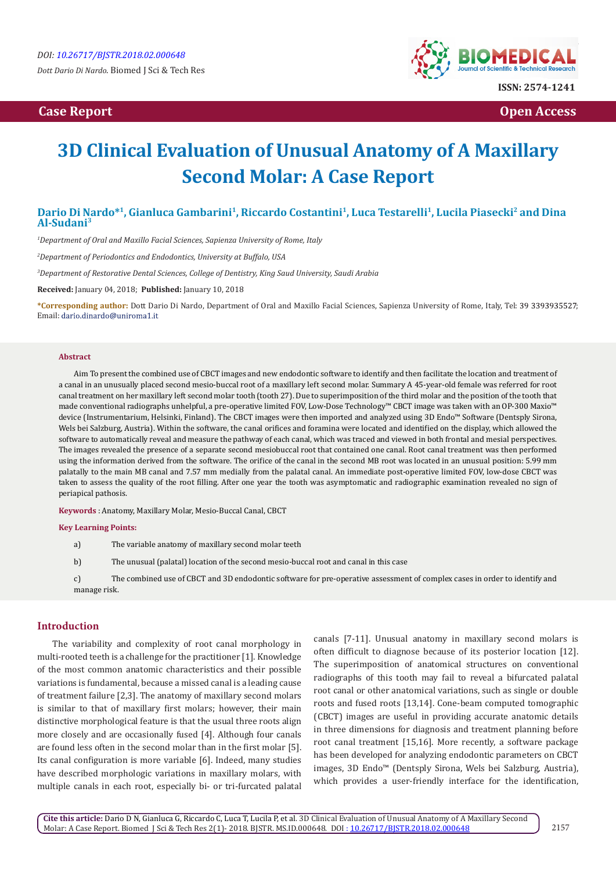# **Case Report Case Report Case Access**  $\alpha$  **Case Report** Case **Open Access Open Access**



# **3D Clinical Evaluation of Unusual Anatomy of A Maxillary Second Molar: A Case Report**

# Dario Di Nardo\*<sup>1</sup>, Gianluca Gambarini<sup>1</sup>, Riccardo Costantini<sup>1</sup>, Luca Testarelli<sup>1</sup>, Lucila Piasecki<sup>2</sup> and Dina **Al-Sudani3**

*1 Department of Oral and Maxillo Facial Sciences, Sapienza University of Rome, Italy* 

*2 Department of Periodontics and Endodontics, University at Buffalo, USA*

*3 Department of Restorative Dental Sciences, College of Dentistry, King Saud University, Saudi Arabia*

**Received:** January 04, 2018; **Published:** January 10, 2018

**\*Corresponding author:** Dott Dario Di Nardo, Department of Oral and Maxillo Facial Sciences, Sapienza University of Rome, Italy, Tel: ; Email: dario.dinardo@uniroma1.it

#### **Abstract**

Aim To present the combined use of CBCT images and new endodontic software to identify and then facilitate the location and treatment of a canal in an unusually placed second mesio-buccal root of a maxillary left second molar. Summary A 45-year-old female was referred for root canal treatment on her maxillary left second molar tooth (tooth 27). Due to superimposition of the third molar and the position of the tooth that made conventional radiographs unhelpful, a pre-operative limited FOV, Low-Dose Technology™ CBCT image was taken with an OP-300 Maxio™ device (Instrumentarium, Helsinki, Finland). The CBCT images were then imported and analyzed using 3D Endo™ Software (Dentsply Sirona, Wels bei Salzburg, Austria). Within the software, the canal orifices and foramina were located and identified on the display, which allowed the software to automatically reveal and measure the pathway of each canal, which was traced and viewed in both frontal and mesial perspectives. The images revealed the presence of a separate second mesiobuccal root that contained one canal. Root canal treatment was then performed using the information derived from the software. The orifice of the canal in the second MB root was located in an unusual position: 5.99 mm palatally to the main MB canal and 7.57 mm medially from the palatal canal. An immediate post-operative limited FOV, low-dose CBCT was taken to assess the quality of the root filling. After one year the tooth was asymptomatic and radiographic examination revealed no sign of periapical pathosis.

**Keywords** : Anatomy, Maxillary Molar, Mesio-Buccal Canal, CBCT

**Key Learning Points:**

a) The variable anatomy of maxillary second molar teeth

b) The unusual (palatal) location of the second mesio-buccal root and canal in this case

c) The combined use of CBCT and 3D endodontic software for pre-operative assessment of complex cases in order to identify and manage risk.

#### **Introduction**

The variability and complexity of root canal morphology in multi-rooted teeth is a challenge for the practitioner [1]. Knowledge of the most common anatomic characteristics and their possible variations is fundamental, because a missed canal is a leading cause of treatment failure [2,3]. The anatomy of maxillary second molars is similar to that of maxillary first molars; however, their main distinctive morphological feature is that the usual three roots align more closely and are occasionally fused [4]. Although four canals are found less often in the second molar than in the first molar [5]. Its canal configuration is more variable [6]. Indeed, many studies have described morphologic variations in maxillary molars, with multiple canals in each root, especially bi- or tri-furcated palatal

canals [7-11]. Unusual anatomy in maxillary second molars is often difficult to diagnose because of its posterior location [12]. The superimposition of anatomical structures on conventional radiographs of this tooth may fail to reveal a bifurcated palatal root canal or other anatomical variations, such as single or double roots and fused roots [13,14]. Cone-beam computed tomographic (CBCT) images are useful in providing accurate anatomic details in three dimensions for diagnosis and treatment planning before root canal treatment [15,16]. More recently, a software package has been developed for analyzing endodontic parameters on CBCT images, 3D Endo™ (Dentsply Sirona, Wels bei Salzburg, Austria), which provides a user-friendly interface for the identification,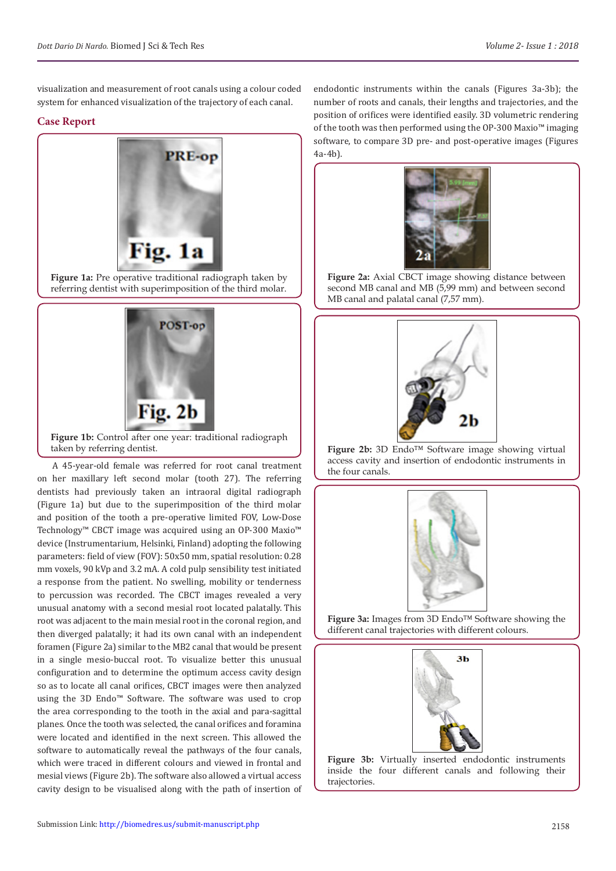visualization and measurement of root canals using a colour coded system for enhanced visualization of the trajectory of each canal.

## **Case Report**



**Figure 1a:** Pre operative traditional radiograph taken by referring dentist with superimposition of the third molar.



**Figure 1b:** Control after one year: traditional radiograph taken by referring dentist.

A 45-year-old female was referred for root canal treatment on her maxillary left second molar (tooth 27). The referring dentists had previously taken an intraoral digital radiograph (Figure 1a) but due to the superimposition of the third molar and position of the tooth a pre-operative limited FOV, Low-Dose Technology™ CBCT image was acquired using an OP-300 Maxio™ device (Instrumentarium, Helsinki, Finland) adopting the following parameters: field of view (FOV): 50x50 mm, spatial resolution: 0.28 mm voxels, 90 kVp and 3.2 mA. A cold pulp sensibility test initiated a response from the patient. No swelling, mobility or tenderness to percussion was recorded. The CBCT images revealed a very unusual anatomy with a second mesial root located palatally. This root was adjacent to the main mesial root in the coronal region, and then diverged palatally; it had its own canal with an independent foramen (Figure 2a) similar to the MB2 canal that would be present in a single mesio-buccal root. To visualize better this unusual configuration and to determine the optimum access cavity design so as to locate all canal orifices, CBCT images were then analyzed using the 3D Endo™ Software. The software was used to crop the area corresponding to the tooth in the axial and para-sagittal planes. Once the tooth was selected, the canal orifices and foramina were located and identified in the next screen. This allowed the software to automatically reveal the pathways of the four canals, which were traced in different colours and viewed in frontal and mesial views (Figure 2b). The software also allowed a virtual access cavity design to be visualised along with the path of insertion of endodontic instruments within the canals (Figures 3a-3b); the number of roots and canals, their lengths and trajectories, and the position of orifices were identified easily. 3D volumetric rendering of the tooth was then performed using the OP-300 Maxio™ imaging software, to compare 3D pre- and post-operative images (Figures 4a-4b).



**Figure 2a:** Axial CBCT image showing distance between second MB canal and MB (5,99 mm) and between second MB canal and palatal canal (7,57 mm).



**Figure 2b:** 3D Endo™ Software image showing virtual access cavity and insertion of endodontic instruments in the four canals.



**Figure 3a:** Images from 3D Endo™ Software showing the different canal trajectories with different colours.



**Figure 3b:** Virtually inserted endodontic instruments inside the four different canals and following their trajectories.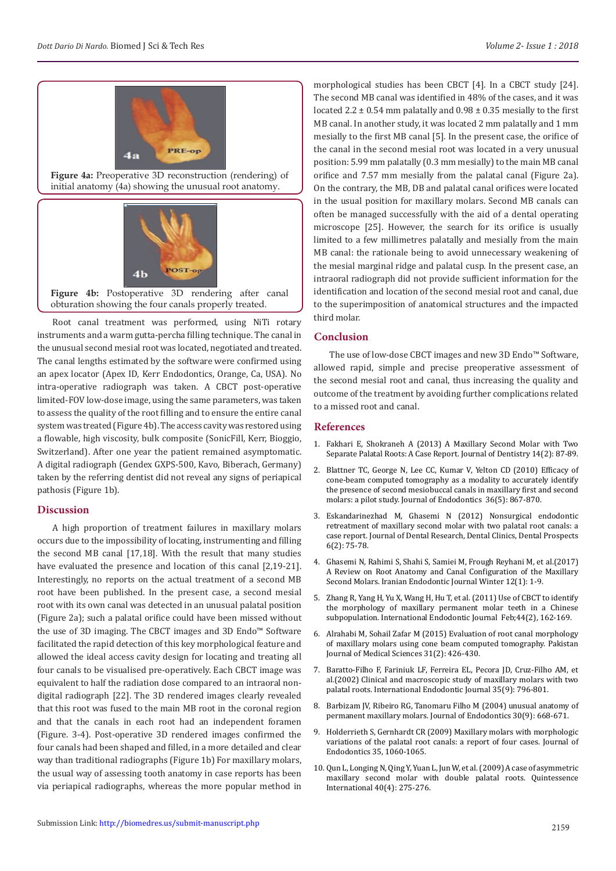

**Figure 4a:** Preoperative 3D reconstruction (rendering) of initial anatomy (4a) showing the unusual root anatomy.



**Figure 4b:** Postoperative 3D rendering after canal obturation showing the four canals properly treated.

Root canal treatment was performed, using NiTi rotary instruments and a warm gutta-percha filling technique. The canal in the unusual second mesial root was located, negotiated and treated. The canal lengths estimated by the software were confirmed using an apex locator (Apex ID, Kerr Endodontics, Orange, Ca, USA). No intra-operative radiograph was taken. A CBCT post-operative limited-FOV low-dose image, using the same parameters, was taken to assess the quality of the root filling and to ensure the entire canal system was treated (Figure 4b). The access cavity was restored using a flowable, high viscosity, bulk composite (SonicFill, Kerr, Bioggio, Switzerland). After one year the patient remained asymptomatic. A digital radiograph (Gendex GXPS-500, Kavo, Biberach, Germany) taken by the referring dentist did not reveal any signs of periapical pathosis (Figure 1b).

#### **Discussion**

A high proportion of treatment failures in maxillary molars occurs due to the impossibility of locating, instrumenting and filling the second MB canal [17,18]. With the result that many studies have evaluated the presence and location of this canal [2,19-21]. Interestingly, no reports on the actual treatment of a second MB root have been published. In the present case, a second mesial root with its own canal was detected in an unusual palatal position (Figure 2a); such a palatal orifice could have been missed without the use of 3D imaging. The CBCT images and 3D Endo™ Software facilitated the rapid detection of this key morphological feature and allowed the ideal access cavity design for locating and treating all four canals to be visualised pre-operatively. Each CBCT image was equivalent to half the radiation dose compared to an intraoral nondigital radiograph [22]. The 3D rendered images clearly revealed that this root was fused to the main MB root in the coronal region and that the canals in each root had an independent foramen (Figure. 3-4). Post-operative 3D rendered images confirmed the four canals had been shaped and filled, in a more detailed and clear way than traditional radiographs (Figure 1b) For maxillary molars, the usual way of assessing tooth anatomy in case reports has been via periapical radiographs, whereas the more popular method in

morphological studies has been CBCT [4]. In a CBCT study [24]. The second MB canal was identified in 48% of the cases, and it was located 2.2  $\pm$  0.54 mm palatally and 0.98  $\pm$  0.35 mesially to the first MB canal. In another study, it was located 2 mm palatally and 1 mm mesially to the first MB canal [5]. In the present case, the orifice of the canal in the second mesial root was located in a very unusual position: 5.99 mm palatally (0.3 mm mesially) to the main MB canal orifice and 7.57 mm mesially from the palatal canal (Figure 2a). On the contrary, the MB, DB and palatal canal orifices were located in the usual position for maxillary molars. Second MB canals can often be managed successfully with the aid of a dental operating microscope [25]. However, the search for its orifice is usually limited to a few millimetres palatally and mesially from the main MB canal: the rationale being to avoid unnecessary weakening of the mesial marginal ridge and palatal cusp. In the present case, an intraoral radiograph did not provide sufficient information for the identification and location of the second mesial root and canal, due to the superimposition of anatomical structures and the impacted third molar.

## **Conclusion**

The use of low-dose CBCT images and new 3D Endo™ Software, allowed rapid, simple and precise preoperative assessment of the second mesial root and canal, thus increasing the quality and outcome of the treatment by avoiding further complications related to a missed root and canal.

## **References**

- 1. [Fakhari E, Shokraneh A \(2013\) A Maxillary Second Molar with Two](https://www.ncbi.nlm.nih.gov/pmc/articles/PMC3977543/) [Separate Palatal Roots: A Case Report.](https://www.ncbi.nlm.nih.gov/pmc/articles/PMC3977543/) Journal of Dentistry 14(2): 87-89.
- 2. [Blattner TC, George N, Lee CC, Kumar V, Yelton CD \(2010\) Efficacy of](https://www.ncbi.nlm.nih.gov/pubmed/20416435) [cone-beam computed tomography as a modality to accurately identify](https://www.ncbi.nlm.nih.gov/pubmed/20416435) [the presence of second mesiobuccal canals in maxillary first and second](https://www.ncbi.nlm.nih.gov/pubmed/20416435) [molars: a pilot study. Journal of Endodontics 36\(5\): 867-870.](https://www.ncbi.nlm.nih.gov/pubmed/20416435)
- 3. [Eskandarinezhad M, Ghasemi N \(2012\) Nonsurgical endodontic](https://www.ncbi.nlm.nih.gov/pmc/articles/PMC3445319/) [retreatment of maxillary second molar with two palatal root canals: a](https://www.ncbi.nlm.nih.gov/pmc/articles/PMC3445319/) [case report. Journal of Dental Research, Dental Clinics, Dental Prospects](https://www.ncbi.nlm.nih.gov/pmc/articles/PMC3445319/) [6\(2\): 75-78.](https://www.ncbi.nlm.nih.gov/pmc/articles/PMC3445319/)
- 4. [Ghasemi N, Rahimi S, Shahi S, Samiei M, Frough Reyhani M, et al.\(2017\)](https://www.ncbi.nlm.nih.gov/pmc/articles/PMC5282370/) [A Review on Root Anatomy and Canal Configuration of the Maxillary](https://www.ncbi.nlm.nih.gov/pmc/articles/PMC5282370/) [Second Molars. Iranian Endodontic Journal Winter 12\(1\): 1-9.](https://www.ncbi.nlm.nih.gov/pmc/articles/PMC5282370/)
- 5. [Zhang R, Yang H, Yu X, Wang H, Hu T, et al. \(2011\) Use of CBCT to identify](https://www.ncbi.nlm.nih.gov/pubmed/21091495) [the morphology of maxillary permanent molar teeth in a Chinese](https://www.ncbi.nlm.nih.gov/pubmed/21091495) [subpopulation. International Endodontic Journal Feb;44\(2\), 162-169.](https://www.ncbi.nlm.nih.gov/pubmed/21091495)
- 6. [Alrahabi M, Sohail Zafar M \(2015\) Evaluation of root canal morphology](https://www.ncbi.nlm.nih.gov/pmc/articles/PMC4476355/) [of maxillary molars using cone beam computed tomography. Pakistan](https://www.ncbi.nlm.nih.gov/pmc/articles/PMC4476355/) [Journal of Medical Sciences 31\(2\): 426-430.](https://www.ncbi.nlm.nih.gov/pmc/articles/PMC4476355/)
- 7. [Baratto-Filho F, Fariniuk LF, Ferreira EL, Pecora JD, Cruz-Filho AM, et](https://www.ncbi.nlm.nih.gov/pubmed/12449032) [al.\(2002\) Clinical and macroscopic study of maxillary molars with two](https://www.ncbi.nlm.nih.gov/pubmed/12449032) [palatal roots. International Endodontic Journal 35\(9\): 796-801.](https://www.ncbi.nlm.nih.gov/pubmed/12449032)
- 8. [Barbizam JV, Ribeiro RG, Tanomaru Filho M \(2004\) unusual anatomy of](https://www.ncbi.nlm.nih.gov/pubmed/15329575) [permanent maxillary molars. Journal of Endodontics 30\(9\): 668-671.](https://www.ncbi.nlm.nih.gov/pubmed/15329575)
- 9. [Holderrieth S, Gernhardt CR \(2009\) Maxillary molars with morphologic](https://www.ncbi.nlm.nih.gov/pubmed/19567335) [variations of the palatal root canals: a report of four cases. Journal of](https://www.ncbi.nlm.nih.gov/pubmed/19567335) [Endodontics 35, 1060-1065.](https://www.ncbi.nlm.nih.gov/pubmed/19567335)
- 10. [Qun L, Longing N, Qing Y, Yuan L, Jun W, et al. \(2009\) A case of asymmetric](https://www.ncbi.nlm.nih.gov/pubmed/19417870) [maxillary second molar with double palatal roots. Quintessence](https://www.ncbi.nlm.nih.gov/pubmed/19417870) [International 40\(4\): 275-276.](https://www.ncbi.nlm.nih.gov/pubmed/19417870)